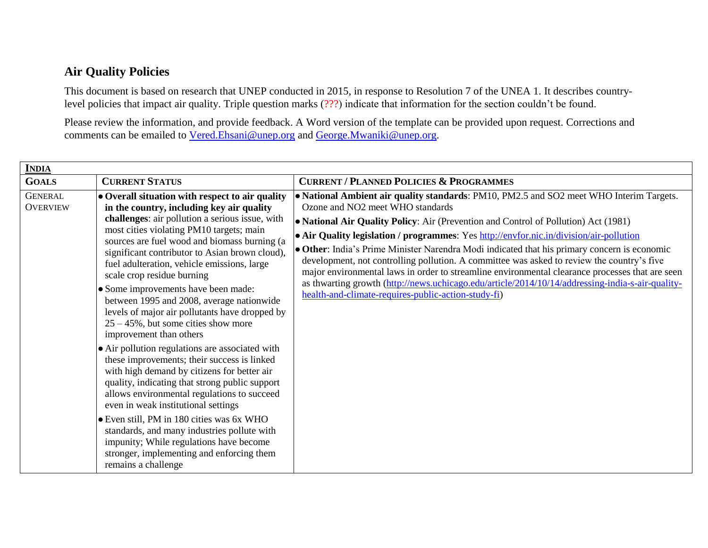## **Air Quality Policies**

This document is based on research that UNEP conducted in 2015, in response to Resolution 7 of the UNEA 1. It describes countrylevel policies that impact air quality. Triple question marks (???) indicate that information for the section couldn't be found.

Please review the information, and provide feedback. A Word version of the template can be provided upon request. Corrections and comments can be emailed to [Vered.Ehsani@unep.org](mailto:Vered.Ehsani@unep.org) and [George.Mwaniki@unep.org.](mailto:George.Mwaniki@unep.org)

| <b>INDIA</b>                      |                                                                                                                                                                                                                                                                                                                                                                                                                                                                                                                                                                                                                                                                                                                                                                                                                                          |                                                                                                                                                                                                                                                                                                                                                                                                                                                                                                                                                                                                                                                                                                                                                                                       |  |  |
|-----------------------------------|------------------------------------------------------------------------------------------------------------------------------------------------------------------------------------------------------------------------------------------------------------------------------------------------------------------------------------------------------------------------------------------------------------------------------------------------------------------------------------------------------------------------------------------------------------------------------------------------------------------------------------------------------------------------------------------------------------------------------------------------------------------------------------------------------------------------------------------|---------------------------------------------------------------------------------------------------------------------------------------------------------------------------------------------------------------------------------------------------------------------------------------------------------------------------------------------------------------------------------------------------------------------------------------------------------------------------------------------------------------------------------------------------------------------------------------------------------------------------------------------------------------------------------------------------------------------------------------------------------------------------------------|--|--|
| <b>GOALS</b>                      | <b>CURRENT STATUS</b>                                                                                                                                                                                                                                                                                                                                                                                                                                                                                                                                                                                                                                                                                                                                                                                                                    | <b>CURRENT / PLANNED POLICIES &amp; PROGRAMMES</b>                                                                                                                                                                                                                                                                                                                                                                                                                                                                                                                                                                                                                                                                                                                                    |  |  |
| <b>GENERAL</b><br><b>OVERVIEW</b> | • Overall situation with respect to air quality<br>in the country, including key air quality<br>challenges: air pollution a serious issue, with<br>most cities violating PM10 targets; main<br>sources are fuel wood and biomass burning (a<br>significant contributor to Asian brown cloud),<br>fuel adulteration, vehicle emissions, large<br>scale crop residue burning<br>• Some improvements have been made:<br>between 1995 and 2008, average nationwide<br>levels of major air pollutants have dropped by<br>$25 - 45\%$ , but some cities show more<br>improvement than others<br>• Air pollution regulations are associated with<br>these improvements; their success is linked<br>with high demand by citizens for better air<br>quality, indicating that strong public support<br>allows environmental regulations to succeed | • National Ambient air quality standards: PM10, PM2.5 and SO2 meet WHO Interim Targets.<br>Ozone and NO <sub>2</sub> meet WHO standards<br>• National Air Quality Policy: Air (Prevention and Control of Pollution) Act (1981)<br>• Air Quality legislation / programmes: Yes http://envfor.nic.in/division/air-pollution<br>• Other: India's Prime Minister Narendra Modi indicated that his primary concern is economic<br>development, not controlling pollution. A committee was asked to review the country's five<br>major environmental laws in order to streamline environmental clearance processes that are seen<br>as thwarting growth (http://news.uchicago.edu/article/2014/10/14/addressing-india-s-air-quality-<br>health-and-climate-requires-public-action-study-fi) |  |  |
|                                   | even in weak institutional settings                                                                                                                                                                                                                                                                                                                                                                                                                                                                                                                                                                                                                                                                                                                                                                                                      |                                                                                                                                                                                                                                                                                                                                                                                                                                                                                                                                                                                                                                                                                                                                                                                       |  |  |
|                                   | • Even still, PM in 180 cities was 6x WHO<br>standards, and many industries pollute with<br>impunity; While regulations have become<br>stronger, implementing and enforcing them<br>remains a challenge                                                                                                                                                                                                                                                                                                                                                                                                                                                                                                                                                                                                                                  |                                                                                                                                                                                                                                                                                                                                                                                                                                                                                                                                                                                                                                                                                                                                                                                       |  |  |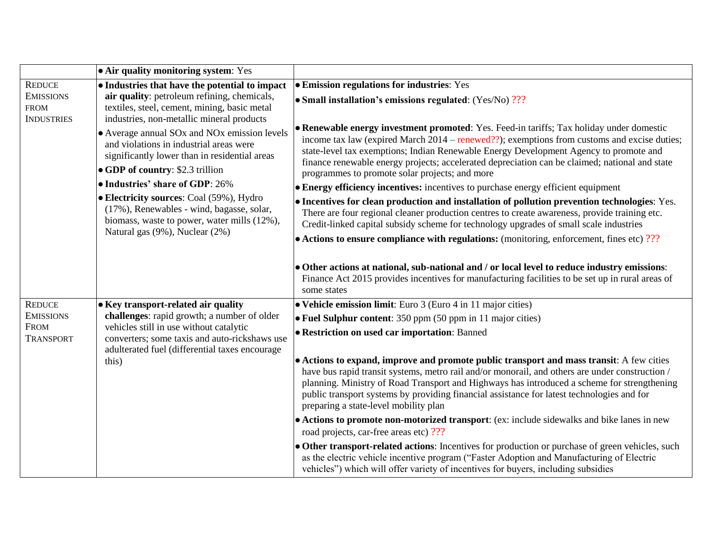|                                                      | • Air quality monitoring system: Yes                                                                                                                                                                                                      |                                                                                                                                                                                                                                                                                                                                                                                                                                        |
|------------------------------------------------------|-------------------------------------------------------------------------------------------------------------------------------------------------------------------------------------------------------------------------------------------|----------------------------------------------------------------------------------------------------------------------------------------------------------------------------------------------------------------------------------------------------------------------------------------------------------------------------------------------------------------------------------------------------------------------------------------|
| <b>REDUCE</b>                                        | • Industries that have the potential to impact                                                                                                                                                                                            | <b>• Emission regulations for industries:</b> Yes                                                                                                                                                                                                                                                                                                                                                                                      |
| <b>EMISSIONS</b><br><b>FROM</b><br><b>INDUSTRIES</b> | air quality: petroleum refining, chemicals,<br>textiles, steel, cement, mining, basic metal                                                                                                                                               | • Small installation's emissions regulated: (Yes/No) ???                                                                                                                                                                                                                                                                                                                                                                               |
|                                                      | industries, non-metallic mineral products<br>• Average annual SOx and NOx emission levels<br>and violations in industrial areas were<br>significantly lower than in residential areas<br>• GDP of country: \$2.3 trillion                 | • Renewable energy investment promoted: Yes. Feed-in tariffs; Tax holiday under domestic<br>income tax law (expired March $2014$ – renewed??); exemptions from customs and excise duties;<br>state-level tax exemptions; Indian Renewable Energy Development Agency to promote and<br>finance renewable energy projects; accelerated depreciation can be claimed; national and state<br>programmes to promote solar projects; and more |
|                                                      | • Industries' share of GDP: 26%                                                                                                                                                                                                           | • Energy efficiency incentives: incentives to purchase energy efficient equipment                                                                                                                                                                                                                                                                                                                                                      |
|                                                      | • Electricity sources: Coal (59%), Hydro<br>(17%), Renewables - wind, bagasse, solar,<br>biomass, waste to power, water mills (12%),<br>Natural gas (9%), Nuclear (2%)                                                                    | • Incentives for clean production and installation of pollution prevention technologies: Yes.<br>There are four regional cleaner production centres to create awareness, provide training etc.<br>Credit-linked capital subsidy scheme for technology upgrades of small scale industries                                                                                                                                               |
|                                                      |                                                                                                                                                                                                                                           | $\bullet$ Actions to ensure compliance with regulations: (monitoring, enforcement, fines etc) ???                                                                                                                                                                                                                                                                                                                                      |
|                                                      |                                                                                                                                                                                                                                           | • Other actions at national, sub-national and / or local level to reduce industry emissions:<br>Finance Act 2015 provides incentives for manufacturing facilities to be set up in rural areas of<br>some states                                                                                                                                                                                                                        |
| <b>REDUCE</b>                                        | • Key transport-related air quality<br>challenges: rapid growth; a number of older<br>vehicles still in use without catalytic<br>converters; some taxis and auto-rickshaws use<br>adulterated fuel (differential taxes encourage<br>this) | • Vehicle emission limit: Euro 3 (Euro 4 in 11 major cities)                                                                                                                                                                                                                                                                                                                                                                           |
| <b>EMISSIONS</b>                                     |                                                                                                                                                                                                                                           | $\bullet$ Fuel Sulphur content: 350 ppm (50 ppm in 11 major cities)                                                                                                                                                                                                                                                                                                                                                                    |
| <b>FROM</b><br>TRANSPORT                             |                                                                                                                                                                                                                                           | <b>• Restriction on used car importation: Banned</b>                                                                                                                                                                                                                                                                                                                                                                                   |
|                                                      |                                                                                                                                                                                                                                           | • Actions to expand, improve and promote public transport and mass transit: A few cities<br>have bus rapid transit systems, metro rail and/or monorail, and others are under construction /<br>planning. Ministry of Road Transport and Highways has introduced a scheme for strengthening<br>public transport systems by providing financial assistance for latest technologies and for<br>preparing a state-level mobility plan      |
|                                                      |                                                                                                                                                                                                                                           | • Actions to promote non-motorized transport: (ex: include sidewalks and bike lanes in new<br>road projects, car-free areas etc) ???                                                                                                                                                                                                                                                                                                   |
|                                                      |                                                                                                                                                                                                                                           | • Other transport-related actions: Incentives for production or purchase of green vehicles, such<br>as the electric vehicle incentive program ("Faster Adoption and Manufacturing of Electric<br>vehicles") which will offer variety of incentives for buyers, including subsidies                                                                                                                                                     |